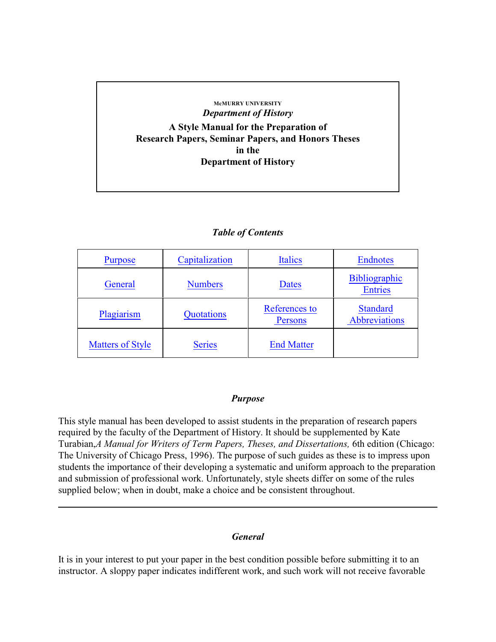### **McMURRY UNIVERSITY** *Department of History*

**A Style Manual for the Preparation of Research Papers, Seminar Papers, and Honors Theses in the Department of History**

## *Table of Contents*

| <b>Purpose</b>          | Capitalization | <b>Italics</b>           | <b>Endnotes</b>                        |
|-------------------------|----------------|--------------------------|----------------------------------------|
| General                 | <b>Numbers</b> | <b>Dates</b>             | <b>Bibliographic</b><br><b>Entries</b> |
| Plagiarism              | Quotations     | References to<br>Persons | <b>Standard</b><br>Abbreviations       |
| <b>Matters of Style</b> | <b>Series</b>  | <b>End Matter</b>        |                                        |

#### <span id="page-0-0"></span>*Purpose*

This style manual has been developed to assist students in the preparation of research papers required by the faculty of the Department of History. It should be supplemented by Kate Turabian,*A Manual for Writers of Term Papers, Theses, and Dissertations,* 6th edition (Chicago: The University of Chicago Press, 1996). The purpose of such guides as these is to impress upon students the importance of their developing a systematic and uniform approach to the preparation and submission of professional work. Unfortunately, style sheets differ on some of the rules supplied below; when in doubt, make a choice and be consistent throughout.

## <span id="page-0-1"></span>*General*

It is in your interest to put your paper in the best condition possible before submitting it to an instructor. A sloppy paper indicates indifferent work, and such work will not receive favorable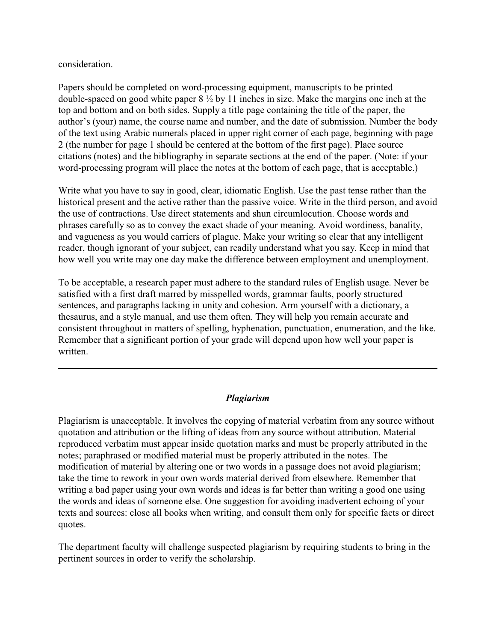consideration.

Papers should be completed on word-processing equipment, manuscripts to be printed double-spaced on good white paper 8 ½ by 11 inches in size. Make the margins one inch at the top and bottom and on both sides. Supply a title page containing the title of the paper, the author's (your) name, the course name and number, and the date of submission. Number the body of the text using Arabic numerals placed in upper right corner of each page, beginning with page 2 (the number for page 1 should be centered at the bottom of the first page). Place source citations (notes) and the bibliography in separate sections at the end of the paper. (Note: if your word-processing program will place the notes at the bottom of each page, that is acceptable.)

Write what you have to say in good, clear, idiomatic English. Use the past tense rather than the historical present and the active rather than the passive voice. Write in the third person, and avoid the use of contractions. Use direct statements and shun circumlocution. Choose words and phrases carefully so as to convey the exact shade of your meaning. Avoid wordiness, banality, and vagueness as you would carriers of plague. Make your writing so clear that any intelligent reader, though ignorant of your subject, can readily understand what you say. Keep in mind that how well you write may one day make the difference between employment and unemployment.

To be acceptable, a research paper must adhere to the standard rules of English usage. Never be satisfied with a first draft marred by misspelled words, grammar faults, poorly structured sentences, and paragraphs lacking in unity and cohesion. Arm yourself with a dictionary, a thesaurus, and a style manual, and use them often. They will help you remain accurate and consistent throughout in matters of spelling, hyphenation, punctuation, enumeration, and the like. Remember that a significant portion of your grade will depend upon how well your paper is written.

### <span id="page-1-0"></span>*Plagiarism*

Plagiarism is unacceptable. It involves the copying of material verbatim from any source without quotation and attribution or the lifting of ideas from any source without attribution. Material reproduced verbatim must appear inside quotation marks and must be properly attributed in the notes; paraphrased or modified material must be properly attributed in the notes. The modification of material by altering one or two words in a passage does not avoid plagiarism; take the time to rework in your own words material derived from elsewhere. Remember that writing a bad paper using your own words and ideas is far better than writing a good one using the words and ideas of someone else. One suggestion for avoiding inadvertent echoing of your texts and sources: close all books when writing, and consult them only for specific facts or direct quotes.

The department faculty will challenge suspected plagiarism by requiring students to bring in the pertinent sources in order to verify the scholarship.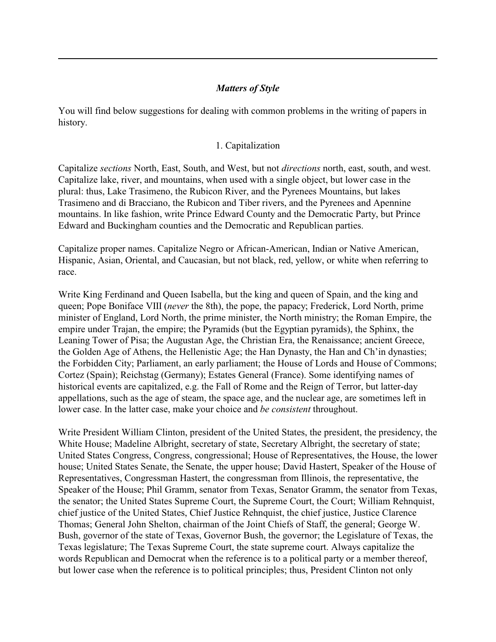## <span id="page-2-1"></span>*Matters of Style*

You will find below suggestions for dealing with common problems in the writing of papers in history.

### <span id="page-2-0"></span>1. Capitalization

Capitalize *sections* North, East, South, and West, but not *directions* north, east, south, and west. Capitalize lake, river, and mountains, when used with a single object, but lower case in the plural: thus, Lake Trasimeno, the Rubicon River, and the Pyrenees Mountains, but lakes Trasimeno and di Bracciano, the Rubicon and Tiber rivers, and the Pyrenees and Apennine mountains. In like fashion, write Prince Edward County and the Democratic Party, but Prince Edward and Buckingham counties and the Democratic and Republican parties.

Capitalize proper names. Capitalize Negro or African-American, Indian or Native American, Hispanic, Asian, Oriental, and Caucasian, but not black, red, yellow, or white when referring to race.

Write King Ferdinand and Queen Isabella, but the king and queen of Spain, and the king and queen; Pope Boniface VIII (*never* the 8th), the pope, the papacy; Frederick, Lord North, prime minister of England, Lord North, the prime minister, the North ministry; the Roman Empire, the empire under Trajan, the empire; the Pyramids (but the Egyptian pyramids), the Sphinx, the Leaning Tower of Pisa; the Augustan Age, the Christian Era, the Renaissance; ancient Greece, the Golden Age of Athens, the Hellenistic Age; the Han Dynasty, the Han and Ch'in dynasties; the Forbidden City; Parliament, an early parliament; the House of Lords and House of Commons; Cortez (Spain); Reichstag (Germany); Estates General (France). Some identifying names of historical events are capitalized, e.g. the Fall of Rome and the Reign of Terror, but latter-day appellations, such as the age of steam, the space age, and the nuclear age, are sometimes left in lower case. In the latter case, make your choice and *be consistent* throughout.

Write President William Clinton, president of the United States, the president, the presidency, the White House; Madeline Albright, secretary of state, Secretary Albright, the secretary of state; United States Congress, Congress, congressional; House of Representatives, the House, the lower house; United States Senate, the Senate, the upper house; David Hastert, Speaker of the House of Representatives, Congressman Hastert, the congressman from Illinois, the representative, the Speaker of the House; Phil Gramm, senator from Texas, Senator Gramm, the senator from Texas, the senator; the United States Supreme Court, the Supreme Court, the Court; William Rehnquist, chief justice of the United States, Chief Justice Rehnquist, the chief justice, Justice Clarence Thomas; General John Shelton, chairman of the Joint Chiefs of Staff, the general; George W. Bush, governor of the state of Texas, Governor Bush, the governor; the Legislature of Texas, the Texas legislature; The Texas Supreme Court, the state supreme court. Always capitalize the words Republican and Democrat when the reference is to a political party or a member thereof, but lower case when the reference is to political principles; thus, President Clinton not only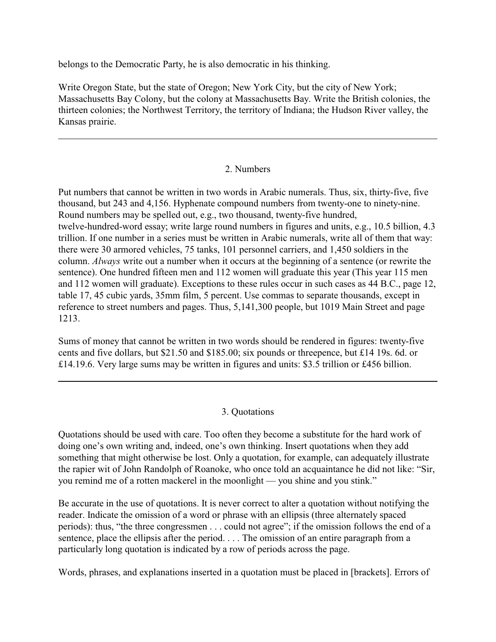belongs to the Democratic Party, he is also democratic in his thinking.

Write Oregon State, but the state of Oregon; New York City, but the city of New York; Massachusetts Bay Colony, but the colony at Massachusetts Bay. Write the British colonies, the thirteen colonies; the Northwest Territory, the territory of Indiana; the Hudson River valley, the Kansas prairie.

## <span id="page-3-0"></span>2. Numbers

Put numbers that cannot be written in two words in Arabic numerals. Thus, six, thirty-five, five thousand, but 243 and 4,156. Hyphenate compound numbers from twenty-one to ninety-nine. Round numbers may be spelled out, e.g., two thousand, twenty-five hundred, twelve-hundred-word essay; write large round numbers in figures and units, e.g., 10.5 billion, 4.3 trillion. If one number in a series must be written in Arabic numerals, write all of them that way: there were 30 armored vehicles, 75 tanks, 101 personnel carriers, and 1,450 soldiers in the column. *Always* write out a number when it occurs at the beginning of a sentence (or rewrite the sentence). One hundred fifteen men and 112 women will graduate this year (This year 115 men and 112 women will graduate). Exceptions to these rules occur in such cases as 44 B.C., page 12, table 17, 45 cubic yards, 35mm film, 5 percent. Use commas to separate thousands, except in reference to street numbers and pages. Thus, 5,141,300 people, but 1019 Main Street and page 1213.

Sums of money that cannot be written in two words should be rendered in figures: twenty-five cents and five dollars, but \$21.50 and \$185.00; six pounds or threepence, but £14 19s. 6d. or £14.19.6. Very large sums may be written in figures and units: \$3.5 trillion or £456 billion.

### <span id="page-3-1"></span>3. Quotations

Quotations should be used with care. Too often they become a substitute for the hard work of doing one's own writing and, indeed, one's own thinking. Insert quotations when they add something that might otherwise be lost. Only a quotation, for example, can adequately illustrate the rapier wit of John Randolph of Roanoke, who once told an acquaintance he did not like: "Sir, you remind me of a rotten mackerel in the moonlight — you shine and you stink."

Be accurate in the use of quotations. It is never correct to alter a quotation without notifying the reader. Indicate the omission of a word or phrase with an ellipsis (three alternately spaced periods): thus, "the three congressmen . . . could not agree"; if the omission follows the end of a sentence, place the ellipsis after the period. . . . The omission of an entire paragraph from a particularly long quotation is indicated by a row of periods across the page.

Words, phrases, and explanations inserted in a quotation must be placed in [brackets]. Errors of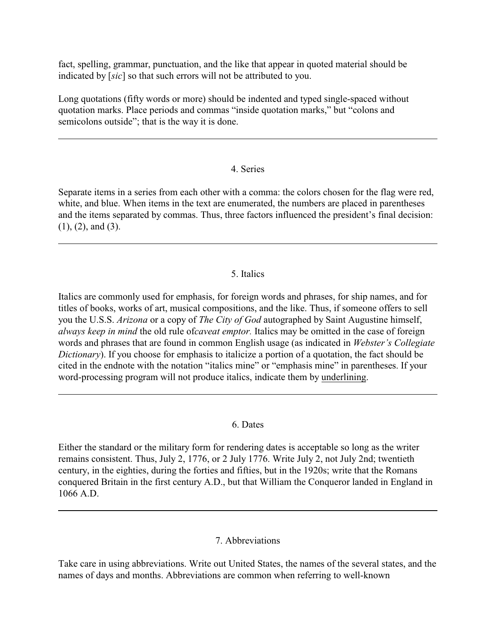fact, spelling, grammar, punctuation, and the like that appear in quoted material should be indicated by [*sic*] so that such errors will not be attributed to you.

Long quotations (fifty words or more) should be indented and typed single-spaced without quotation marks. Place periods and commas "inside quotation marks," but "colons and semicolons outside"; that is the way it is done.

## <span id="page-4-3"></span>4. Series

Separate items in a series from each other with a comma: the colors chosen for the flag were red, white, and blue. When items in the text are enumerated, the numbers are placed in parentheses and the items separated by commas. Thus, three factors influenced the president's final decision: (1), (2), and (3).

## <span id="page-4-0"></span>5. Italics

Italics are commonly used for emphasis, for foreign words and phrases, for ship names, and for titles of books, works of art, musical compositions, and the like. Thus, if someone offers to sell you the U.S.S. *Arizona* or a copy of *The City of God* autographed by Saint Augustine himself, *always keep in mind* the old rule of*caveat emptor.* Italics may be omitted in the case of foreign words and phrases that are found in common English usage (as indicated in *Webster's Collegiate Dictionary*). If you choose for emphasis to italicize a portion of a quotation, the fact should be cited in the endnote with the notation "italics mine" or "emphasis mine" in parentheses. If your word-processing program will not produce italics, indicate them by underlining.

### <span id="page-4-1"></span>6. Dates

Either the standard or the military form for rendering dates is acceptable so long as the writer remains consistent. Thus, July 2, 1776, or 2 July 1776. Write July 2, not July 2nd; twentieth century, in the eighties, during the forties and fifties, but in the 1920s; write that the Romans conquered Britain in the first century A.D., but that William the Conqueror landed in England in 1066 A.D.

## <span id="page-4-2"></span>7. Abbreviations

Take care in using abbreviations. Write out United States, the names of the several states, and the names of days and months. Abbreviations are common when referring to well-known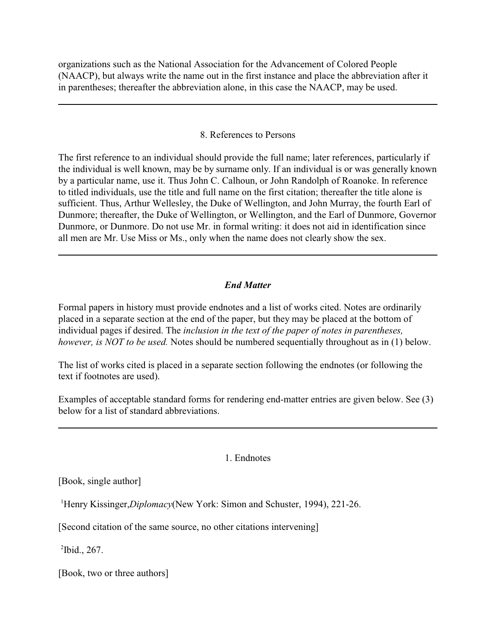organizations such as the National Association for the Advancement of Colored People (NAACP), but always write the name out in the first instance and place the abbreviation after it in parentheses; thereafter the abbreviation alone, in this case the NAACP, may be used.

#### <span id="page-5-1"></span>8. References to Persons

The first reference to an individual should provide the full name; later references, particularly if the individual is well known, may be by surname only. If an individual is or was generally known by a particular name, use it. Thus John C. Calhoun, or John Randolph of Roanoke. In reference to titled individuals, use the title and full name on the first citation; thereafter the title alone is sufficient. Thus, Arthur Wellesley, the Duke of Wellington, and John Murray, the fourth Earl of Dunmore; thereafter, the Duke of Wellington, or Wellington, and the Earl of Dunmore, Governor Dunmore, or Dunmore. Do not use Mr. in formal writing: it does not aid in identification since all men are Mr. Use Miss or Ms., only when the name does not clearly show the sex.

## <span id="page-5-2"></span>*End Matter*

Formal papers in history must provide endnotes and a list of works cited. Notes are ordinarily placed in a separate section at the end of the paper, but they may be placed at the bottom of individual pages if desired. The *inclusion in the text of the paper of notes in parentheses, however, is NOT to be used.* Notes should be numbered sequentially throughout as in (1) below.

The list of works cited is placed in a separate section following the endnotes (or following the text if footnotes are used).

Examples of acceptable standard forms for rendering end-matter entries are given below. See (3) below for a list of standard abbreviations.

#### <span id="page-5-0"></span>1. Endnotes

[Book, single author]

<sup>1</sup>Henry Kissinger,*Diplomacy*(New York: Simon and Schuster, 1994), 221-26.

[Second citation of the same source, no other citations intervening]

 $^{2}$ Ibid., 267.

[Book, two or three authors]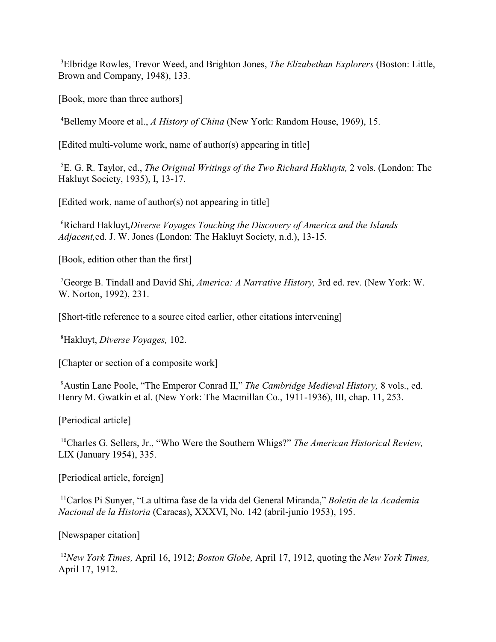Elbridge Rowles, Trevor Weed, and Brighton Jones, *The Elizabethan Explorers* (Boston: Little, <sup>3</sup> Brown and Company, 1948), 133.

[Book, more than three authors]

Bellemy Moore et al., *A History of China* (New York: Random House, 1969), 15. <sup>4</sup>

[Edited multi-volume work, name of author(s) appearing in title]

<sup>5</sup>E. G. R. Taylor, ed., *The Original Writings of the Two Richard Hakluyts*, 2 vols. (London: The Hakluyt Society, 1935), I, 13-17.

[Edited work, name of author(s) not appearing in title]

Richard Hakluyt,*Diverse Voyages Touching the Discovery of America and the Islands* <sup>6</sup> *Adjacent,*ed. J. W. Jones (London: The Hakluyt Society, n.d.), 13-15.

[Book, edition other than the first]

<sup>7</sup>George B. Tindall and David Shi, *America: A Narrative History*, 3rd ed. rev. (New York: W. W. Norton, 1992), 231.

[Short-title reference to a source cited earlier, other citations intervening]

Hakluyt, *Diverse Voyages,* 102. <sup>8</sup>

[Chapter or section of a composite work]

<sup>9</sup> Austin Lane Poole, "The Emperor Conrad II," *The Cambridge Medieval History*, 8 vols., ed. Henry M. Gwatkin et al. (New York: The Macmillan Co., 1911-1936), III, chap. 11, 253.

[Periodical article]

<sup>10</sup>Charles G. Sellers, Jr., "Who Were the Southern Whigs?" *The American Historical Review*, LIX (January 1954), 335.

[Periodical article, foreign]

<sup>11</sup> Carlos Pi Sunver, "La ultima fase de la vida del General Miranda," *Boletin de la Academia Nacional de la Historia* (Caracas), XXXVI, No. 142 (abril-junio 1953), 195.

[Newspaper citation]

<sup>12</sup>New York Times, April 16, 1912; *Boston Globe, April 17, 1912*, quoting the *New York Times*, April 17, 1912.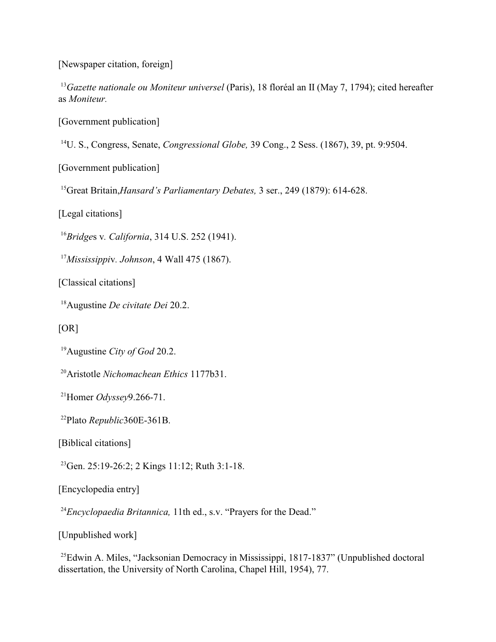[Newspaper citation, foreign]

<sup>13</sup> Gazette nationale ou Moniteur universel (Paris), 18 floréal an II (May 7, 1794); cited hereafter as *Moniteur.*

[Government publication]

<sup>14</sup>U. S., Congress, Senate, *Congressional Globe*, 39 Cong., 2 Sess. (1867), 39, pt. 9:9504.

[Government publication]

<sup>15</sup> Great Britain, *Hansard's Parliamentary Debates*, 3 ser., 249 (1879): 614-628.

[Legal citations]

<sup>16</sup>Bridges v. *California*, 314 U.S. 252 (1941).

*Mississippi*v*. Johnson*, 4 Wall 475 (1867). <sup>17</sup>

[Classical citations]

<sup>18</sup> Augustine *De civitate Dei* 20.2.

 $[OR]$ 

<sup>19</sup> Augustine *City of God* 20.2.

<sup>20</sup> Aristotle *Nichomachean Ethics* 1177b31.

<sup>21</sup>Homer *Odyssey* 9.266-71.

Plato *Republic*360E-361B. 22

[Biblical citations]

 $^{23}$ Gen. 25:19-26:2; 2 Kings 11:12; Ruth 3:1-18.

[Encyclopedia entry]

<sup>24</sup> Encyclopaedia Britannica, 11th ed., s.v. "Prayers for the Dead."

[Unpublished work]

 $^{25}$ Edwin A. Miles, "Jacksonian Democracy in Mississippi, 1817-1837" (Unpublished doctoral dissertation, the University of North Carolina, Chapel Hill, 1954), 77.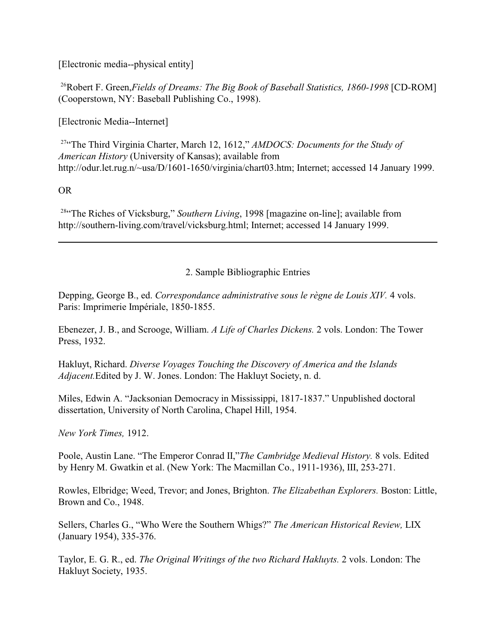[Electronic media--physical entity]

<sup>26</sup>Robert F. Green, Fields of Dreams: The Big Book of Baseball Statistics, 1860-1998 [CD-ROM] (Cooperstown, NY: Baseball Publishing Co., 1998).

[Electronic Media--Internet]

<sup>27</sup>"The Third Virginia Charter, March 12, 1612," *AMDOCS: Documents for the Study of American History* (University of Kansas); available from http://odur.let.rug.n/~usa/D/1601-1650/virginia/chart03.htm; Internet; accessed 14 January 1999.

## OR

<sup>28</sup> The Riches of Vicksburg," *Southern Living*, 1998 [magazine on-line]; available from http://southern-living.com/travel/vicksburg.html; Internet; accessed 14 January 1999.

# <span id="page-8-0"></span>2. Sample Bibliographic Entries

Depping, George B., ed. *Correspondance administrative sous le règne de Louis XIV*. 4 vols. Paris: Imprimerie Impériale, 1850-1855.

Ebenezer, J. B., and Scrooge, William. *A Life of Charles Dickens.* 2 vols. London: The Tower Press, 1932.

Hakluyt, Richard. *Diverse Voyages Touching the Discovery of America and the Islands Adjacent.*Edited by J. W. Jones. London: The Hakluyt Society, n. d.

Miles, Edwin A. "Jacksonian Democracy in Mississippi, 1817-1837." Unpublished doctoral dissertation, University of North Carolina, Chapel Hill, 1954.

*New York Times,* 1912.

Poole, Austin Lane. "The Emperor Conrad II,"*The Cambridge Medieval History.* 8 vols. Edited by Henry M. Gwatkin et al. (New York: The Macmillan Co., 1911-1936), III, 253-271.

Rowles, Elbridge; Weed, Trevor; and Jones, Brighton. *The Elizabethan Explorers.* Boston: Little, Brown and Co., 1948.

Sellers, Charles G., "Who Were the Southern Whigs?" *The American Historical Review,* LIX (January 1954), 335-376.

Taylor, E. G. R., ed. *The Original Writings of the two Richard Hakluyts.* 2 vols. London: The Hakluyt Society, 1935.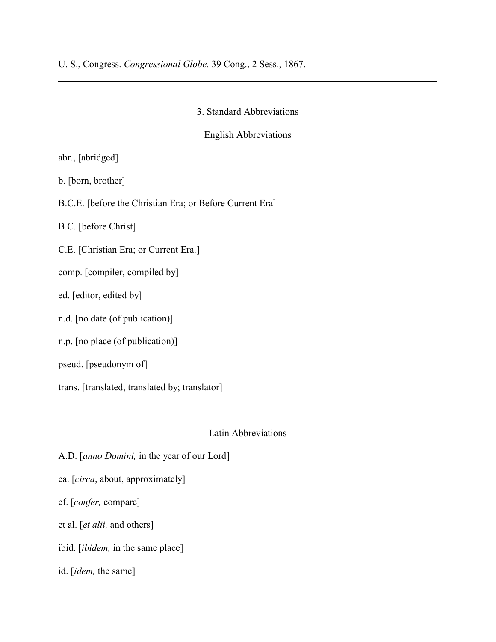U. S., Congress. *Congressional Globe.* 39 Cong., 2 Sess., 1867.

3. Standard Abbreviations

English Abbreviations

abr., [abridged]

b. [born, brother]

B.C.E. [before the Christian Era; or Before Current Era]

B.C. [before Christ]

C.E. [Christian Era; or Current Era.]

comp. [compiler, compiled by]

ed. [editor, edited by]

n.d. [no date (of publication)]

n.p. [no place (of publication)]

pseud. [pseudonym of]

trans. [translated, translated by; translator]

### Latin Abbreviations

A.D. [*anno Domini,* in the year of our Lord] ca. [*circa*, about, approximately] cf. [*confer,* compare]

et al. [*et alii,* and others]

ibid. [*ibidem,* in the same place]

id. [*idem,* the same]